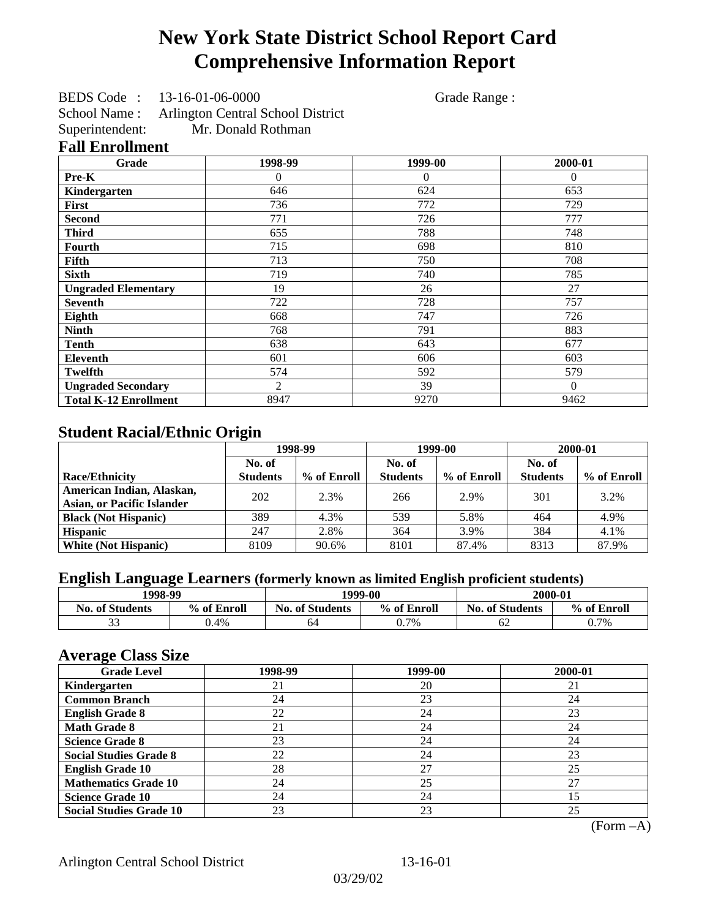# **New York State District School Report Card Comprehensive Information Report**

BEDS Code : 13-16-01-06-0000 Grade Range :

School Name : Arlington Central School District<br>Superintendent: Mr. Donald Rothman Mr. Donald Rothman

### **Fall Enrollment**

| Grade                        | 1998-99        | 1999-00        | 2000-01      |
|------------------------------|----------------|----------------|--------------|
| Pre-K                        | $\overline{0}$ | $\overline{0}$ | $\mathbf{0}$ |
| Kindergarten                 | 646            | 624            | 653          |
| <b>First</b>                 | 736            | 772            | 729          |
| <b>Second</b>                | 771            | 726            | 777          |
| <b>Third</b>                 | 655            | 788            | 748          |
| Fourth                       | 715            | 698            | 810          |
| Fifth                        | 713            | 750            | 708          |
| <b>Sixth</b>                 | 719            | 740            | 785          |
| <b>Ungraded Elementary</b>   | 19             | 26             | 27           |
| <b>Seventh</b>               | 722            | 728            | 757          |
| Eighth                       | 668            | 747            | 726          |
| <b>Ninth</b>                 | 768            | 791            | 883          |
| <b>Tenth</b>                 | 638            | 643            | 677          |
| Eleventh                     | 601            | 606            | 603          |
| <b>Twelfth</b>               | 574            | 592            | 579          |
| <b>Ungraded Secondary</b>    | 2              | 39             | $\Omega$     |
| <b>Total K-12 Enrollment</b> | 8947           | 9270           | 9462         |

## **Student Racial/Ethnic Origin**

|                                   | 1998-99         |             | 1999-00         |             | 2000-01         |             |
|-----------------------------------|-----------------|-------------|-----------------|-------------|-----------------|-------------|
|                                   | No. of          |             | No. of          |             | No. of          |             |
| <b>Race/Ethnicity</b>             | <b>Students</b> | % of Enroll | <b>Students</b> | % of Enroll | <b>Students</b> | % of Enroll |
| American Indian, Alaskan,         | 202             | 2.3%        | 266             | 2.9%        | 301             | 3.2%        |
| <b>Asian, or Pacific Islander</b> |                 |             |                 |             |                 |             |
| <b>Black (Not Hispanic)</b>       | 389             | 4.3%        | 539             | 5.8%        | 464             | 4.9%        |
| <b>Hispanic</b>                   | 247             | 2.8%        | 364             | 3.9%        | 384             | 4.1%        |
| <b>White (Not Hispanic)</b>       | 8109            | 90.6%       | 8101            | 87.4%       | 8313            | 87.9%       |

### **English Language Learners (formerly known as limited English proficient students)**

| 1998-99                |             | 1999-00                |             | 2000-01                |             |
|------------------------|-------------|------------------------|-------------|------------------------|-------------|
| <b>No. of Students</b> | % of Enroll | <b>No. of Students</b> | % of Enroll | <b>No. of Students</b> | % of Enroll |
| $\sim$                 | $0.4\%$     | 64                     | 0.7%        | 62                     | 0.7%        |

### **Average Class Size**

| <b>Grade Level</b>             | 1998-99 | 1999-00 | 2000-01 |
|--------------------------------|---------|---------|---------|
| Kindergarten                   | 21      | 20      | 21      |
| <b>Common Branch</b>           | 24      | 23      | 24      |
| <b>English Grade 8</b>         | 22      | 24      | 23      |
| <b>Math Grade 8</b>            | 21      | 24      | 24      |
| <b>Science Grade 8</b>         | 23      | 24      | 24      |
| <b>Social Studies Grade 8</b>  | 22      | 24      | 23      |
| <b>English Grade 10</b>        | 28      | 27      | 25      |
| <b>Mathematics Grade 10</b>    | 24      | 25      | 27      |
| <b>Science Grade 10</b>        | 24      | 24      | 15      |
| <b>Social Studies Grade 10</b> | 23      | 23      | 25      |

(Form –A)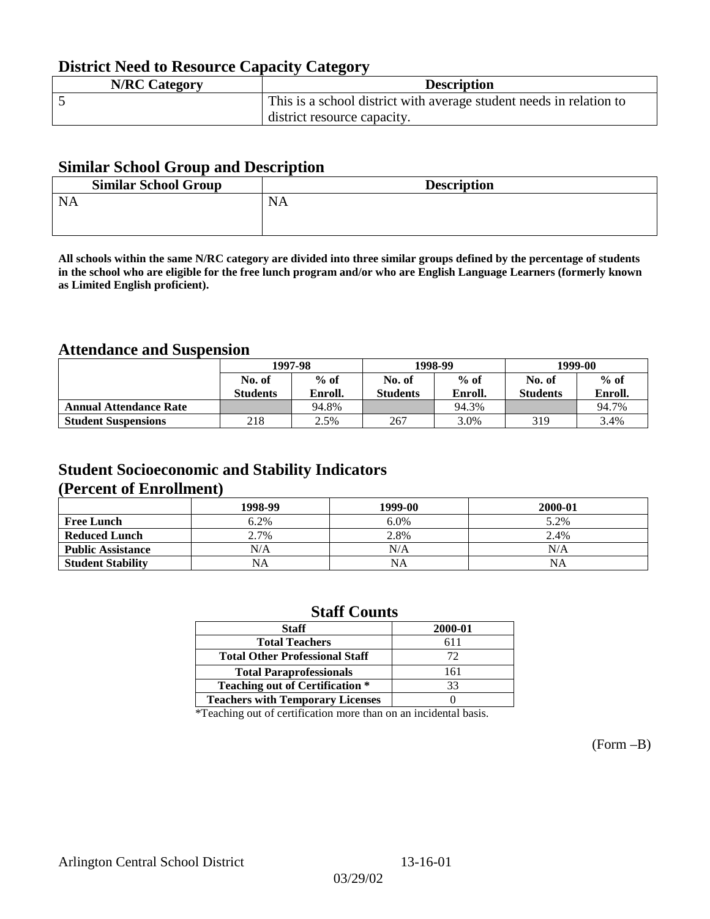## **District Need to Resource Capacity Category**

| <b>N/RC Category</b> | <b>Description</b>                                                  |
|----------------------|---------------------------------------------------------------------|
|                      | This is a school district with average student needs in relation to |
|                      | district resource capacity.                                         |

### **Similar School Group and Description**

| <b>Similar School Group</b> | <b>Description</b> |
|-----------------------------|--------------------|
| <b>NA</b>                   | <b>NA</b>          |

**All schools within the same N/RC category are divided into three similar groups defined by the percentage of students in the school who are eligible for the free lunch program and/or who are English Language Learners (formerly known as Limited English proficient).**

## **Attendance and Suspension**

|                               | 1997-98          |         |                 | 1998-99 | 1999-00         |         |
|-------------------------------|------------------|---------|-----------------|---------|-----------------|---------|
|                               | $%$ of<br>No. of |         | No. of          | $%$ of  | No. of          | $%$ of  |
|                               | <b>Students</b>  | Enroll. | <b>Students</b> | Enroll. | <b>Students</b> | Enroll. |
| <b>Annual Attendance Rate</b> |                  | 94.8%   |                 | 94.3%   |                 | 94.7%   |
| <b>Student Suspensions</b>    | 218              | 2.5%    | 267             | 3.0%    | 319             | 3.4%    |

## **Student Socioeconomic and Stability Indicators (Percent of Enrollment)**

|                          | 1998-99   | 1999-00   | 2000-01 |
|--------------------------|-----------|-----------|---------|
| <b>Free Lunch</b>        | 6.2%      | 6.0%      | 5.2%    |
| <b>Reduced Lunch</b>     | 2.7%      | 2.8%      | 2.4%    |
| <b>Public Assistance</b> | N/A       | N/A       | N/A     |
| <b>Student Stability</b> | <b>NA</b> | <b>NA</b> | ΝA      |

### **Staff Counts**

| <b>Staff</b>                            | 2000-01 |
|-----------------------------------------|---------|
| <b>Total Teachers</b>                   | 611     |
| <b>Total Other Professional Staff</b>   | 72      |
| <b>Total Paraprofessionals</b>          | 161     |
| <b>Teaching out of Certification *</b>  | 33      |
| <b>Teachers with Temporary Licenses</b> |         |

\*Teaching out of certification more than on an incidental basis.

(Form –B)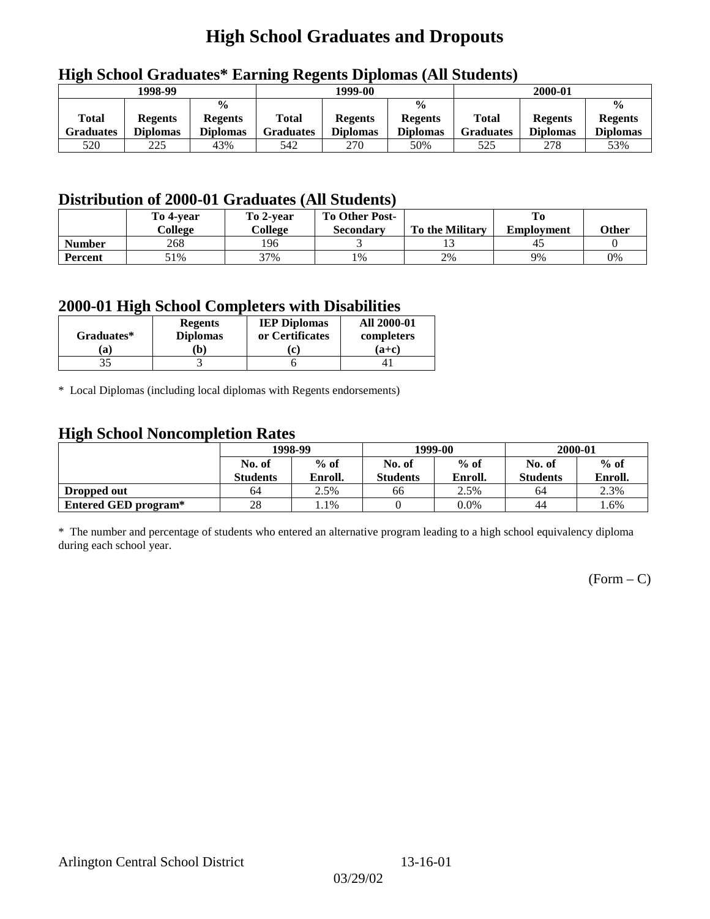# **High School Graduates and Dropouts**

|                           | 1998-99                           |                                                    |                           | 1999-00                           |                                                    |                           | 2000-01                           |                                                    |
|---------------------------|-----------------------------------|----------------------------------------------------|---------------------------|-----------------------------------|----------------------------------------------------|---------------------------|-----------------------------------|----------------------------------------------------|
| <b>Total</b><br>Graduates | <b>Regents</b><br><b>Diplomas</b> | $\frac{0}{0}$<br><b>Regents</b><br><b>Diplomas</b> | <b>Total</b><br>Graduates | <b>Regents</b><br><b>Diplomas</b> | $\frac{0}{0}$<br><b>Regents</b><br><b>Diplomas</b> | Total<br><b>Graduates</b> | <b>Regents</b><br><b>Diplomas</b> | $\frac{0}{0}$<br><b>Regents</b><br><b>Diplomas</b> |
| 520                       | 225                               | 43%                                                | 542                       | 270                               | 50%                                                | 525                       | 278                               | 53%                                                |

## **High School Graduates\* Earning Regents Diplomas (All Students)**

## **Distribution of 2000-01 Graduates (All Students)**

|                | To 4-vear | To 2-year | <b>To Other Post-</b> |                        |                   |       |
|----------------|-----------|-----------|-----------------------|------------------------|-------------------|-------|
|                | College   | College   | Secondary             | <b>To the Military</b> | <b>Employment</b> | Other |
| <b>Number</b>  | 268       | 196       |                       |                        | 43                |       |
| <b>Percent</b> | 51%       | 37%       | 1%                    | 2%                     | 9%                | 0%    |

### **2000-01 High School Completers with Disabilities**

| Graduates* | <b>Regents</b><br><b>Diplomas</b> | <b>IEP Diplomas</b><br>or Certificates | <b>All 2000-01</b><br>completers |
|------------|-----------------------------------|----------------------------------------|----------------------------------|
| a)         | b)                                | (c)                                    | $(a+c)$                          |
|            |                                   |                                        |                                  |

\* Local Diplomas (including local diplomas with Regents endorsements)

### **High School Noncompletion Rates**

| ັ                    | 1998-99         |         |                 | 1999-00 | 2000-01         |         |
|----------------------|-----------------|---------|-----------------|---------|-----------------|---------|
|                      | No. of          | $%$ of  | No. of          | $%$ of  | No. of          | $%$ of  |
|                      | <b>Students</b> | Enroll. | <b>Students</b> | Enroll. | <b>Students</b> | Enroll. |
| Dropped out          | 64              | 2.5%    | 66              | 2.5%    | 64              | 2.3%    |
| Entered GED program* | 28              | l.1%    |                 | $0.0\%$ | 44              | 1.6%    |

\* The number and percentage of students who entered an alternative program leading to a high school equivalency diploma during each school year.

 $(Form - C)$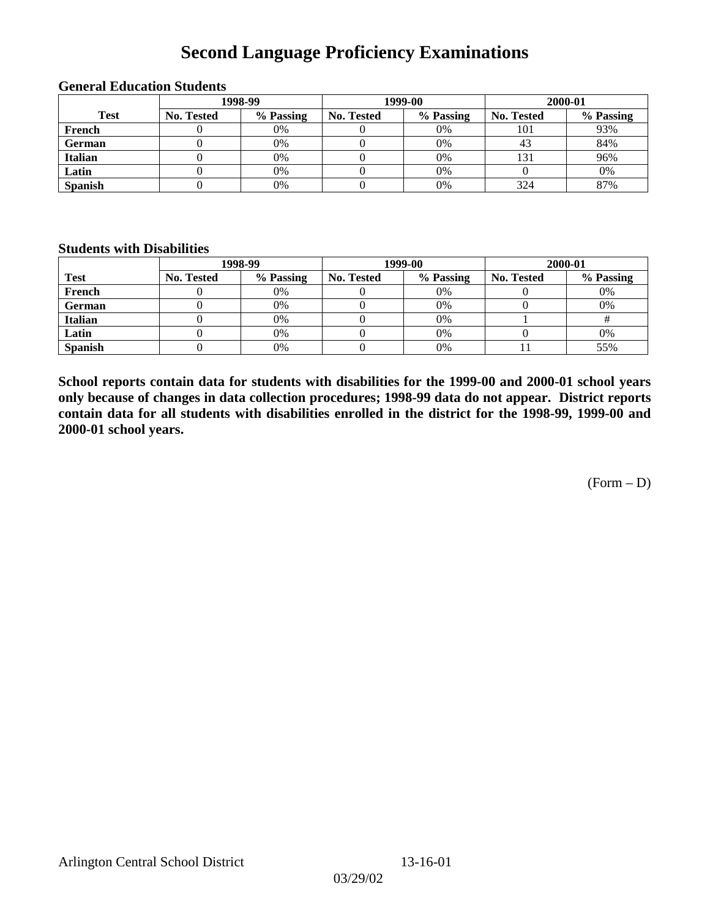## **Second Language Proficiency Examinations**

|                |            | 1998-99   |                   | 1999-00   | 2000-01    |           |  |
|----------------|------------|-----------|-------------------|-----------|------------|-----------|--|
| <b>Test</b>    | No. Tested | % Passing | <b>No. Tested</b> | % Passing | No. Tested | % Passing |  |
| French         |            | 0%        |                   | 0%        | 101        | 93%       |  |
| <b>German</b>  |            | 0%        |                   | 0%        | 43         | 84%       |  |
| <b>Italian</b> |            | 0%        |                   | 0%        | 131        | 96%       |  |
| Latin          |            | 0%        |                   | 0%        |            | 0%        |  |
| <b>Spanish</b> |            | 0%        |                   | 0%        | 324        | 87%       |  |

### **General Education Students**

### **Students with Disabilities**

|                | 1998-99    |           |                   | 1999-00   | 2000-01           |           |  |
|----------------|------------|-----------|-------------------|-----------|-------------------|-----------|--|
| <b>Test</b>    | No. Tested | % Passing | <b>No. Tested</b> | % Passing | <b>No. Tested</b> | % Passing |  |
| French         |            | $0\%$     |                   | 0%        |                   | 0%        |  |
| German         |            | 0%        |                   | 0%        |                   | 0%        |  |
| <b>Italian</b> |            | 0%        |                   | 0%        |                   |           |  |
| Latin          |            | 0%        |                   | 0%        |                   | 0%        |  |
| <b>Spanish</b> |            | 0%        |                   | 0%        |                   | 55%       |  |

**School reports contain data for students with disabilities for the 1999-00 and 2000-01 school years only because of changes in data collection procedures; 1998-99 data do not appear. District reports contain data for all students with disabilities enrolled in the district for the 1998-99, 1999-00 and 2000-01 school years.**

 $(Form - D)$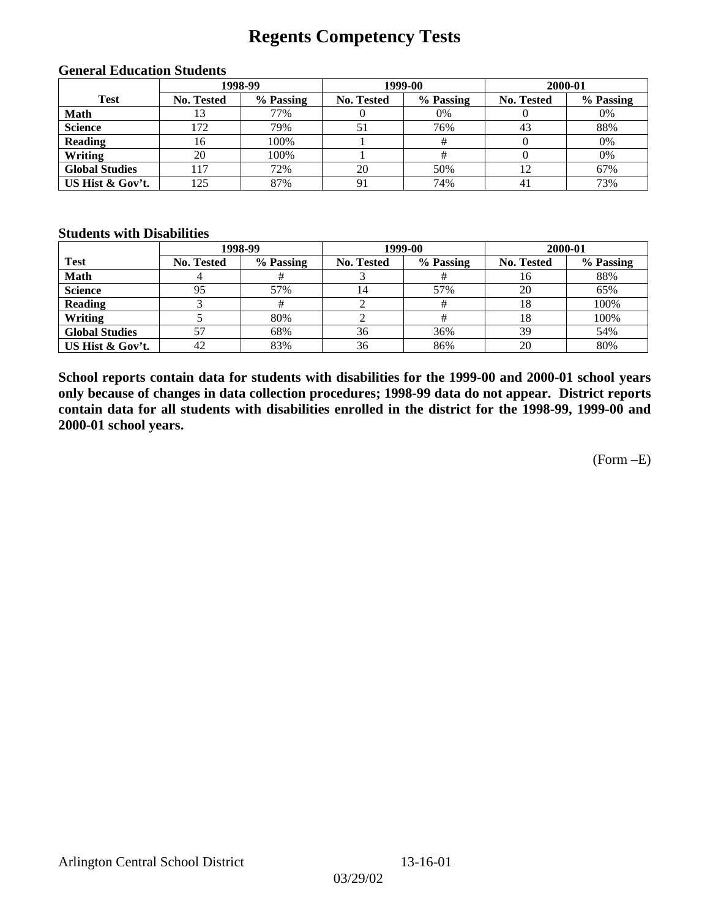## **Regents Competency Tests**

| 1998-99               |                   |           |                   | 1999-00   | 2000-01           |           |  |
|-----------------------|-------------------|-----------|-------------------|-----------|-------------------|-----------|--|
| <b>Test</b>           | <b>No. Tested</b> | % Passing | <b>No. Tested</b> | % Passing | <b>No. Tested</b> | % Passing |  |
| <b>Math</b>           | 13                | 77%       | υ                 | 0%        |                   | 0%        |  |
| <b>Science</b>        | 172               | 79%       | 51                | 76%       | 43                | 88%       |  |
| <b>Reading</b>        | 16                | 100%      |                   |           |                   | 0%        |  |
| Writing               | 20                | 100%      |                   |           |                   | 0%        |  |
| <b>Global Studies</b> | 17                | 72%       | 20                | 50%       |                   | 67%       |  |
| US Hist & Gov't.      | 125               | 87%       | 91                | 74%       | 41                | 73%       |  |

#### **General Education Students**

### **Students with Disabilities**

|                       |                   | 1998-99   | 1999-00    |           | 2000-01           |           |
|-----------------------|-------------------|-----------|------------|-----------|-------------------|-----------|
| <b>Test</b>           | <b>No. Tested</b> | % Passing | No. Tested | % Passing | <b>No. Tested</b> | % Passing |
| <b>Math</b>           |                   |           |            |           | 16                | 88%       |
| <b>Science</b>        | 95                | 57%       | 14         | 57%       | 20                | 65%       |
| <b>Reading</b>        |                   |           |            |           | 18                | 100%      |
| Writing               |                   | 80%       |            |           |                   | 100%      |
| <b>Global Studies</b> |                   | 68%       | 36         | 36%       | 39                | 54%       |
| US Hist & Gov't.      | 42                | 83%       | 36         | 86%       | 20                | 80%       |

**School reports contain data for students with disabilities for the 1999-00 and 2000-01 school years only because of changes in data collection procedures; 1998-99 data do not appear. District reports contain data for all students with disabilities enrolled in the district for the 1998-99, 1999-00 and 2000-01 school years.**

(Form –E)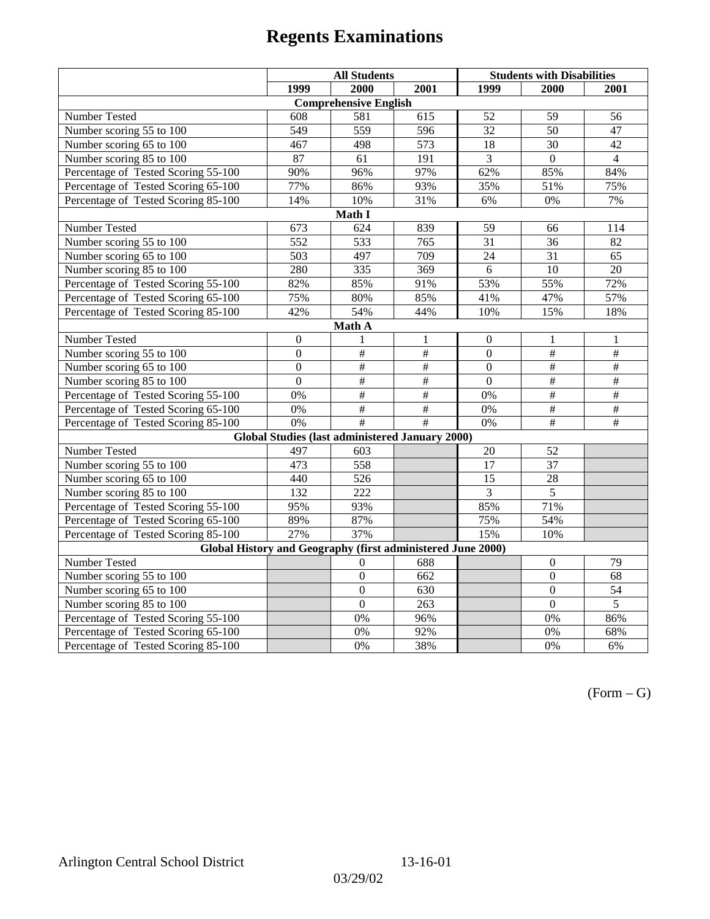|                                                             | <b>All Students</b> |                                                        |                  | <b>Students with Disabilities</b> |                           |                          |  |  |
|-------------------------------------------------------------|---------------------|--------------------------------------------------------|------------------|-----------------------------------|---------------------------|--------------------------|--|--|
|                                                             | 1999                | 2000                                                   | 2001             | 1999                              | 2000                      | 2001                     |  |  |
|                                                             |                     | <b>Comprehensive English</b>                           |                  |                                   |                           |                          |  |  |
| Number Tested                                               | 608                 | 581                                                    | 615              | 52                                | 59                        | 56                       |  |  |
| Number scoring 55 to 100                                    | 549                 | 559                                                    | 596              | 32                                | 50                        | 47                       |  |  |
| Number scoring 65 to 100                                    | 467                 | 498                                                    | $\overline{573}$ | $\overline{18}$                   | $\overline{30}$           | $\overline{42}$          |  |  |
| Number scoring 85 to 100                                    | 87                  | 61                                                     | 191              | $\overline{3}$                    | $\overline{0}$            | $\overline{4}$           |  |  |
| Percentage of Tested Scoring 55-100                         | 90%                 | 96%                                                    | 97%              | 62%                               | 85%                       | 84%                      |  |  |
| Percentage of Tested Scoring 65-100                         | 77%                 | 86%                                                    | 93%              | 35%                               | 51%                       | 75%                      |  |  |
| Percentage of Tested Scoring 85-100                         | 14%                 | 10%                                                    | 31%              | 6%                                | 0%                        | 7%                       |  |  |
|                                                             |                     | Math I                                                 |                  |                                   |                           |                          |  |  |
| Number Tested                                               | 673                 | 624                                                    | 839              | 59                                | 66                        | 114                      |  |  |
| Number scoring 55 to 100                                    | $\overline{552}$    | 533                                                    | 765              | 31                                | 36                        | 82                       |  |  |
| Number scoring 65 to 100                                    | 503                 | 497                                                    | 709              | 24                                | 31                        | 65                       |  |  |
| Number scoring 85 to 100                                    | 280                 | $\overline{335}$                                       | 369              | $\overline{6}$                    | $\overline{10}$           | $\overline{20}$          |  |  |
| Percentage of Tested Scoring 55-100                         | 82%                 | 85%                                                    | 91%              | 53%                               | 55%                       | 72%                      |  |  |
| Percentage of Tested Scoring 65-100                         | 75%                 | 80%                                                    | 85%              | 41%                               | 47%                       | 57%                      |  |  |
| Percentage of Tested Scoring 85-100                         | 42%                 | 54%                                                    | 44%              | 10%                               | 15%                       | 18%                      |  |  |
| Math A                                                      |                     |                                                        |                  |                                   |                           |                          |  |  |
| Number Tested                                               | $\boldsymbol{0}$    | 1                                                      | 1                | $\boldsymbol{0}$                  | 1                         | 1                        |  |  |
| Number scoring $55 \overline{\text{to } 100}$               | $\mathbf{0}$        | $\overline{\#}$                                        | $\overline{\#}$  | $\overline{0}$                    | $\#$                      | $\overline{\overline{}}$ |  |  |
| Number scoring 65 to 100                                    | $\mathbf{0}$        | $\overline{\#}$                                        | $\overline{\#}$  | $\overline{0}$                    | $\overline{\#}$           | $\overline{\overline{}}$ |  |  |
| Number scoring 85 to 100                                    | $\mathbf{0}$        | $\overline{+}$                                         | $\overline{\#}$  | $\overline{0}$                    | $\overline{\overline{t}}$ | $\overline{+}$           |  |  |
| Percentage of Tested Scoring 55-100                         | 0%                  | $\overline{\#}$                                        | #                | 0%                                | #                         | #                        |  |  |
| Percentage of Tested Scoring 65-100                         | 0%                  | $\frac{1}{2}$                                          | $\overline{\#}$  | 0%                                | $\overline{+}$            | $\overline{+}$           |  |  |
| Percentage of Tested Scoring 85-100                         | 0%                  | #                                                      | #                | 0%                                | $\overline{\overline{t}}$ | $\overline{+}$           |  |  |
|                                                             |                     | <b>Global Studies (last administered January 2000)</b> |                  |                                   |                           |                          |  |  |
| Number Tested                                               | 497                 | 603                                                    |                  | 20                                | 52                        |                          |  |  |
| Number scoring 55 to 100                                    | 473                 | 558                                                    |                  | 17                                | 37                        |                          |  |  |
| Number scoring 65 to 100                                    | 440                 | 526                                                    |                  | 15                                | 28                        |                          |  |  |
| Number scoring 85 to 100                                    | 132                 | $\overline{222}$                                       |                  | 3                                 | $\overline{5}$            |                          |  |  |
| Percentage of Tested Scoring 55-100                         | 95%                 | 93%                                                    |                  | 85%                               | 71%                       |                          |  |  |
| Percentage of Tested Scoring 65-100                         | 89%                 | 87%                                                    |                  | 75%                               | 54%                       |                          |  |  |
| Percentage of Tested Scoring 85-100                         | 27%                 | 37%                                                    |                  | 15%                               | 10%                       |                          |  |  |
| Global History and Geography (first administered June 2000) |                     |                                                        |                  |                                   |                           |                          |  |  |
| Number Tested                                               |                     | 0                                                      | 688              |                                   | $\boldsymbol{0}$          | 79                       |  |  |
| Number scoring 55 to 100                                    |                     | $\boldsymbol{0}$                                       | 662              |                                   | $\mathbf{0}$              | 68                       |  |  |
| Number scoring 65 to 100                                    |                     | $\overline{0}$                                         | 630              |                                   | $\boldsymbol{0}$          | 54                       |  |  |
| Number scoring 85 to 100                                    |                     | $\overline{0}$                                         | 263              |                                   | $\overline{0}$            | $\overline{5}$           |  |  |
| Percentage of Tested Scoring 55-100                         |                     | 0%                                                     | 96%              |                                   | 0%                        | 86%                      |  |  |
| Percentage of Tested Scoring 65-100                         |                     | 0%                                                     | 92%              |                                   | 0%                        | 68%                      |  |  |
| Percentage of Tested Scoring 85-100                         |                     | 0%                                                     | 38%              |                                   | 0%                        | 6%                       |  |  |

 $(Form - G)$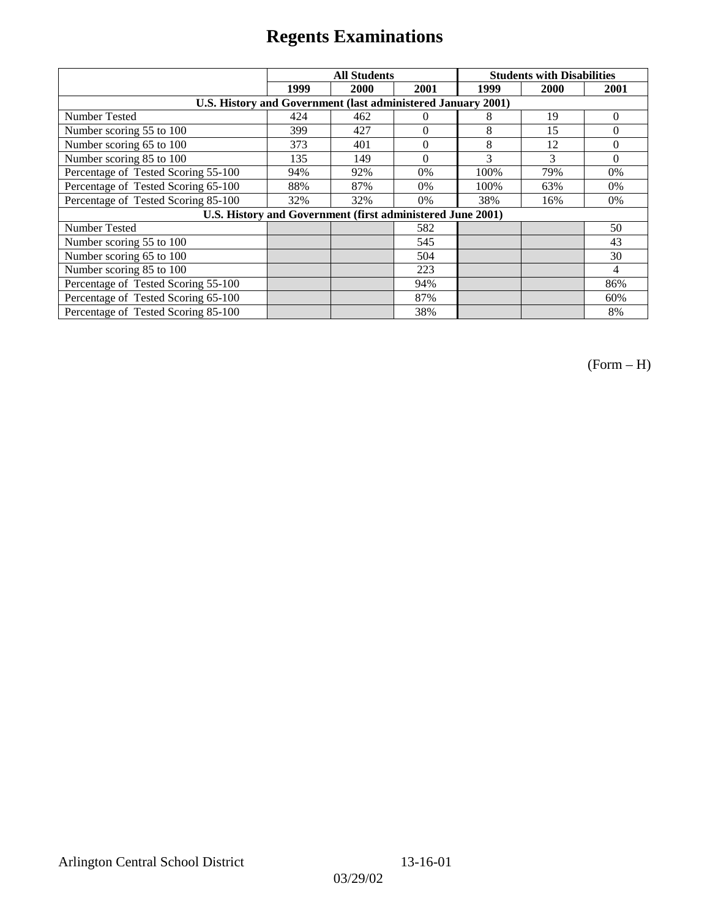|                                                              | <b>All Students</b> |      |                | <b>Students with Disabilities</b> |      |          |
|--------------------------------------------------------------|---------------------|------|----------------|-----------------------------------|------|----------|
|                                                              | 1999                | 2000 | 2001           | 1999                              | 2000 | 2001     |
| U.S. History and Government (last administered January 2001) |                     |      |                |                                   |      |          |
| Number Tested                                                | 424                 | 462  | $\theta$       | 8                                 | 19   | $\Omega$ |
| Number scoring 55 to 100                                     | 399                 | 427  | $\theta$       | 8                                 | 15   | $\theta$ |
| Number scoring 65 to 100                                     | 373                 | 401  | $\overline{0}$ | 8                                 | 12   | $\Omega$ |
| Number scoring 85 to 100                                     | 135                 | 149  | $\Omega$       | 3                                 | 3    | $\Omega$ |
| Percentage of Tested Scoring 55-100                          | 94%                 | 92%  | 0%             | 100%                              | 79%  | 0%       |
| Percentage of Tested Scoring 65-100                          | 88%                 | 87%  | 0%             | 100%                              | 63%  | $0\%$    |
| Percentage of Tested Scoring 85-100                          | 32%                 | 32%  | 0%             | 38%                               | 16%  | $0\%$    |
| U.S. History and Government (first administered June 2001)   |                     |      |                |                                   |      |          |
| Number Tested                                                |                     |      | 582            |                                   |      | 50       |
| Number scoring 55 to 100                                     |                     |      | 545            |                                   |      | 43       |
| Number scoring 65 to 100                                     |                     |      | 504            |                                   |      | 30       |
| Number scoring 85 to 100                                     |                     |      | 223            |                                   |      | 4        |
| Percentage of Tested Scoring 55-100                          |                     |      | 94%            |                                   |      | 86%      |
| Percentage of Tested Scoring 65-100                          |                     |      | 87%            |                                   |      | 60%      |
| Percentage of Tested Scoring 85-100                          |                     |      | 38%            |                                   |      | 8%       |

(Form – H)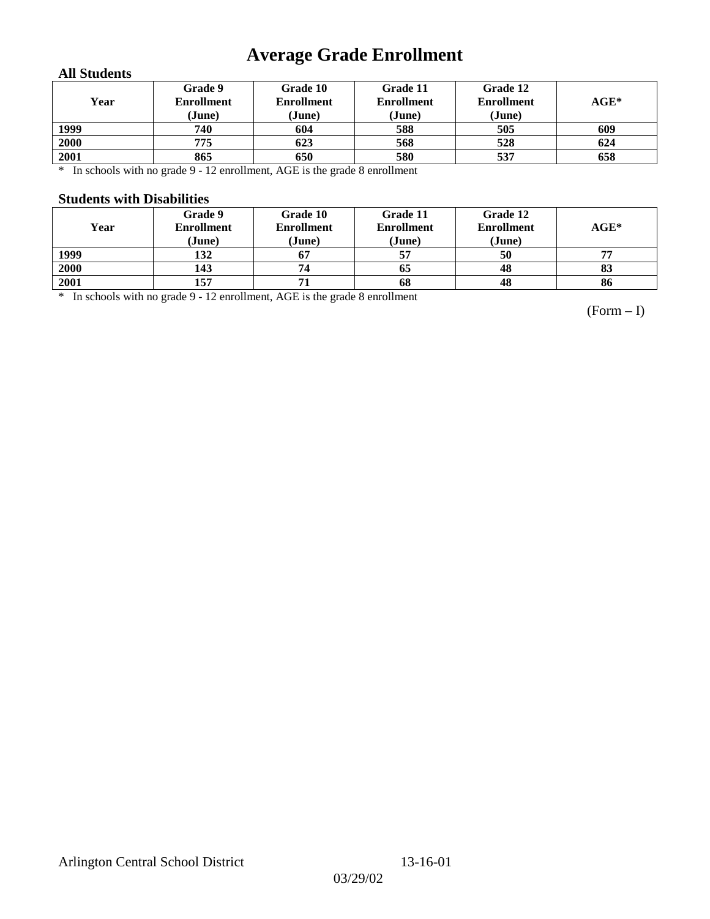# **Average Grade Enrollment**

### **All Students**

| Year | Grade 9<br><b>Enrollment</b><br>(June) | Grade 10<br><b>Enrollment</b><br>(June) | Grade 11<br><b>Enrollment</b><br>(June) | Grade 12<br><b>Enrollment</b><br>(June) | $\mathbf{AGE}^*$ |
|------|----------------------------------------|-----------------------------------------|-----------------------------------------|-----------------------------------------|------------------|
| 1999 | 740                                    | 604                                     | 588                                     | 505                                     | 609              |
| 2000 | 775                                    | 623                                     | 568                                     | 528                                     | 624              |
| 2001 | 865                                    | 650                                     | 580                                     | 537                                     | 658              |

\* In schools with no grade 9 - 12 enrollment, AGE is the grade 8 enrollment

#### **Students with Disabilities**

| Year | Grade 9<br><b>Enrollment</b><br>(June) | Grade 10<br><b>Enrollment</b><br>(June) | Grade 11<br><b>Enrollment</b><br>(June) | Grade 12<br><b>Enrollment</b><br>(June) | $AGE*$ |
|------|----------------------------------------|-----------------------------------------|-----------------------------------------|-----------------------------------------|--------|
| 1999 | 132                                    | 67                                      | 57                                      | 50                                      | 77     |
| 2000 | 143                                    | 74                                      | 65                                      | 48                                      | 83     |
| 2001 | 157                                    |                                         | 68                                      | 48                                      | 86     |

\* In schools with no grade 9 - 12 enrollment, AGE is the grade 8 enrollment

(Form – I)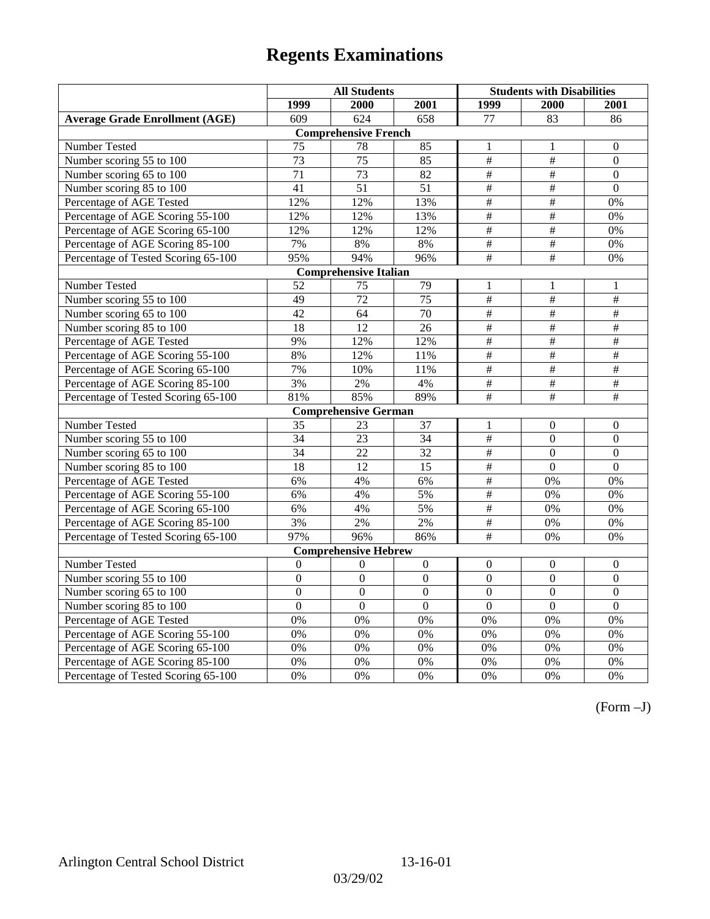|                                       | <b>All Students</b> |                              |                 | <b>Students with Disabilities</b> |                           |                  |
|---------------------------------------|---------------------|------------------------------|-----------------|-----------------------------------|---------------------------|------------------|
|                                       | 1999                | 2000                         | 2001            | 1999                              | 2000                      | 2001             |
| <b>Average Grade Enrollment (AGE)</b> | 609                 | 624                          | 658             | 77                                | 83                        | 86               |
|                                       |                     | <b>Comprehensive French</b>  |                 |                                   |                           |                  |
| Number Tested                         | 75                  | 78                           | 85              | $\mathbf{1}$                      | 1                         | $\mathbf{0}$     |
| Number scoring 55 to 100              | 73                  | 75                           | 85              | $\#$                              | $\#$                      | $\boldsymbol{0}$ |
| Number scoring 65 to 100              | 71                  | 73                           | 82              | #                                 | $\#$                      | $\mathbf{0}$     |
| Number scoring 85 to 100              | 41                  | 51                           | 51              | $\overline{\overline{t}}$         | $\overline{\overline{t}}$ | $\mathbf{0}$     |
| Percentage of AGE Tested              | 12%                 | 12%                          | 13%             | $\overline{\#}$                   | #                         | 0%               |
| Percentage of AGE Scoring 55-100      | 12%                 | 12%                          | 13%             | $\overline{\#}$                   | #                         | 0%               |
| Percentage of AGE Scoring 65-100      | 12%                 | 12%                          | 12%             | $\frac{1}{2}$                     | $\overline{\#}$           | 0%               |
| Percentage of AGE Scoring 85-100      | 7%                  | $8\%$                        | $8\%$           | $\#$                              | $\#$                      | $0\%$            |
| Percentage of Tested Scoring 65-100   | 95%                 | 94%                          | 96%             | $\overline{+}$                    | $\overline{+}$            | 0%               |
|                                       |                     | <b>Comprehensive Italian</b> |                 |                                   |                           |                  |
| Number Tested                         | 52                  | 75                           | 79              | 1                                 | 1                         | 1                |
| Number scoring 55 to 100              | 49                  | $\overline{72}$              | $\overline{75}$ | $\overline{\#}$                   | #                         | #                |
| Number scoring 65 to 100              | 42                  | 64                           | 70              | #                                 | #                         | #                |
| Number scoring 85 to 100              | 18                  | 12                           | 26              | $\#$                              | #                         | $\#$             |
| Percentage of AGE Tested              | 9%                  | 12%                          | 12%             | $\overline{\overline{H}}$         | $\overline{\overline{t}}$ | $\overline{+}$   |
| Percentage of AGE Scoring 55-100      | 8%                  | 12%                          | 11%             | $\overline{\#}$                   | #                         | #                |
| Percentage of AGE Scoring 65-100      | 7%                  | 10%                          | 11%             | $\frac{1}{2}$                     | $\overline{\#}$           | #                |
| Percentage of AGE Scoring 85-100      | 3%                  | 2%                           | 4%              | $\overline{\overline{t}}$         | $\overline{+}$            | $\overline{+}$   |
| Percentage of Tested Scoring 65-100   | 81%                 | 85%                          | 89%             | $\#$                              | $\#$                      | $\#$             |
|                                       |                     | <b>Comprehensive German</b>  |                 |                                   |                           |                  |
| Number Tested                         | 35                  | 23                           | 37              | 1                                 | $\overline{0}$            | $\mathbf{0}$     |
| Number scoring 55 to 100              | 34                  | 23                           | 34              | $\overline{\overline{H}}$         | $\boldsymbol{0}$          | $\boldsymbol{0}$ |
| Number scoring 65 to 100              | $\overline{34}$     | $\overline{22}$              | $\overline{32}$ | $\overline{\#}$                   | $\overline{0}$            | $\overline{0}$   |
| Number scoring 85 to 100              | $\overline{18}$     | $\overline{12}$              | $\overline{15}$ | $\overline{\#}$                   | $\overline{0}$            | $\overline{0}$   |
| Percentage of AGE Tested              | 6%                  | 4%                           | 6%              | $\#$                              | 0%                        | 0%               |
| Percentage of AGE Scoring 55-100      | 6%                  | 4%                           | 5%              | #                                 | 0%                        | 0%               |
| Percentage of AGE Scoring 65-100      | 6%                  | 4%                           | 5%              | $\overline{\#}$                   | 0%                        | 0%               |
| Percentage of AGE Scoring 85-100      | 3%                  | 2%                           | 2%              | $\frac{1}{2}$                     | 0%                        | 0%               |
| Percentage of Tested Scoring 65-100   | 97%                 | 96%                          | 86%             | $\overline{+}$                    | 0%                        | 0%               |
|                                       |                     | <b>Comprehensive Hebrew</b>  |                 |                                   |                           |                  |
| Number Tested                         | $\mathbf{0}$        | $\theta$                     | $\overline{0}$  | $\mathbf{0}$                      | $\boldsymbol{0}$          | $\boldsymbol{0}$ |
| Number scoring 55 to 100              | $\mathbf{0}$        | $\Omega$                     | $\Omega$        | $\theta$                          | $\Omega$                  | $\mathbf{0}$     |
| Number scoring 65 to 100              | $\mathbf{0}$        | $\mathbf{0}$                 | $\Omega$        | $\boldsymbol{0}$                  | $\boldsymbol{0}$          | $\boldsymbol{0}$ |
| Number scoring 85 to 100              | $\overline{0}$      | $\overline{0}$               | $\overline{0}$  | $\overline{0}$                    | $\overline{0}$            | $\overline{0}$   |
| Percentage of AGE Tested              | 0%                  | 0%                           | 0%              | 0%                                | 0%                        | 0%               |
| Percentage of AGE Scoring 55-100      | 0%                  | 0%                           | 0%              | 0%                                | 0%                        | 0%               |
| Percentage of AGE Scoring 65-100      | 0%                  | 0%                           | 0%              | $0\%$                             | 0%                        | 0%               |
| Percentage of AGE Scoring 85-100      | 0%                  | $0\%$                        | 0%              | $0\%$                             | 0%                        | 0%               |
| Percentage of Tested Scoring 65-100   | 0%                  | 0%                           | 0%              | 0%                                | 0%                        | 0%               |

(Form –J)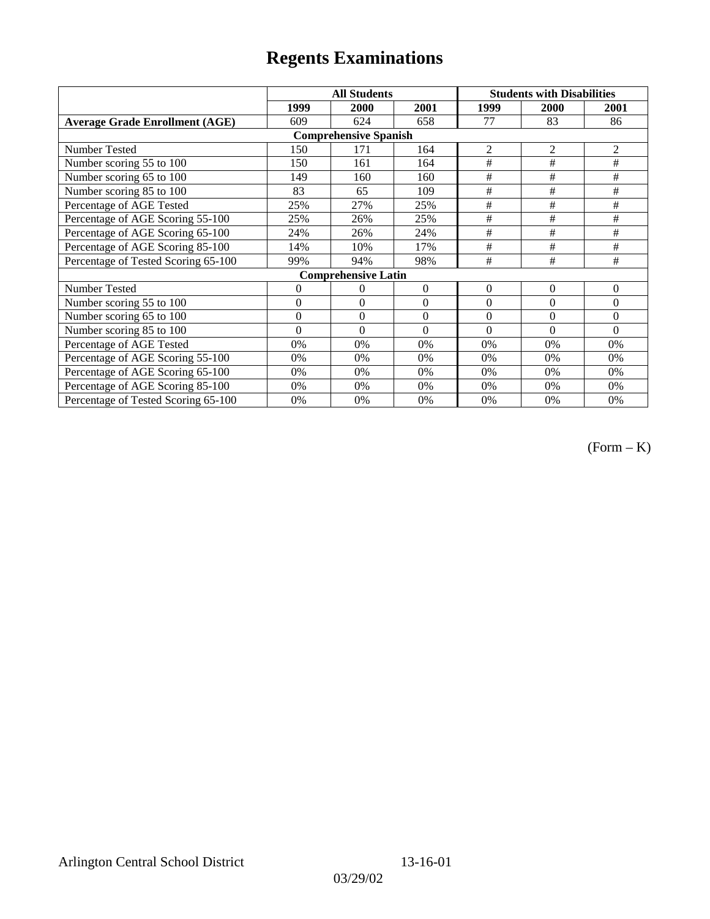|                                       | <b>All Students</b> |                            |          | <b>Students with Disabilities</b> |                |                |  |  |
|---------------------------------------|---------------------|----------------------------|----------|-----------------------------------|----------------|----------------|--|--|
|                                       | 1999                | 2000                       | 2001     | 1999                              | 2000           | 2001           |  |  |
| <b>Average Grade Enrollment (AGE)</b> | 609                 | 624                        | 658      | 77                                | 83             | 86             |  |  |
| <b>Comprehensive Spanish</b>          |                     |                            |          |                                   |                |                |  |  |
| Number Tested                         | 150                 | 171                        | 164      | $\overline{2}$                    | $\overline{2}$ | $\overline{2}$ |  |  |
| Number scoring 55 to 100              | 150                 | 161                        | 164      | #                                 | $\#$           | #              |  |  |
| Number scoring 65 to 100              | 149                 | 160                        | 160      | #                                 | #              | #              |  |  |
| Number scoring 85 to 100              | 83                  | 65                         | 109      | #                                 | $\#$           | #              |  |  |
| Percentage of AGE Tested              | 25%                 | 27%                        | 25%      | $\#$                              | #              | #              |  |  |
| Percentage of AGE Scoring 55-100      | 25%                 | 26%                        | 25%      | #                                 | #              | #              |  |  |
| Percentage of AGE Scoring 65-100      | 24%                 | 26%                        | 24%      | #                                 | #              | #              |  |  |
| Percentage of AGE Scoring 85-100      | 14%                 | 10%                        | 17%      | #                                 | #              | #              |  |  |
| Percentage of Tested Scoring 65-100   | 99%                 | 94%                        | 98%      | #                                 | #              | #              |  |  |
|                                       |                     | <b>Comprehensive Latin</b> |          |                                   |                |                |  |  |
| Number Tested                         | 0                   | $\theta$                   | $\Omega$ | $\theta$                          | $\overline{0}$ | $\overline{0}$ |  |  |
| Number scoring 55 to 100              | $\overline{0}$      | $\theta$                   | $\Omega$ | $\Omega$                          | $\theta$       | $\theta$       |  |  |
| Number scoring $65$ to $100$          | $\mathbf{0}$        | $\theta$                   | $\Omega$ | $\theta$                          | $\theta$       | $\theta$       |  |  |
| Number scoring 85 to 100              | $\theta$            | $\theta$                   | $\Omega$ | $\Omega$                          | $\theta$       | $\Omega$       |  |  |
| Percentage of AGE Tested              | 0%                  | 0%                         | $0\%$    | 0%                                | 0%             | 0%             |  |  |
| Percentage of AGE Scoring 55-100      | 0%                  | 0%                         | 0%       | 0%                                | 0%             | 0%             |  |  |
| Percentage of AGE Scoring 65-100      | 0%                  | 0%                         | 0%       | 0%                                | 0%             | 0%             |  |  |
| Percentage of AGE Scoring 85-100      | 0%                  | 0%                         | 0%       | $0\%$                             | 0%             | 0%             |  |  |
| Percentage of Tested Scoring 65-100   | 0%                  | 0%                         | 0%       | 0%                                | 0%             | 0%             |  |  |

(Form – K)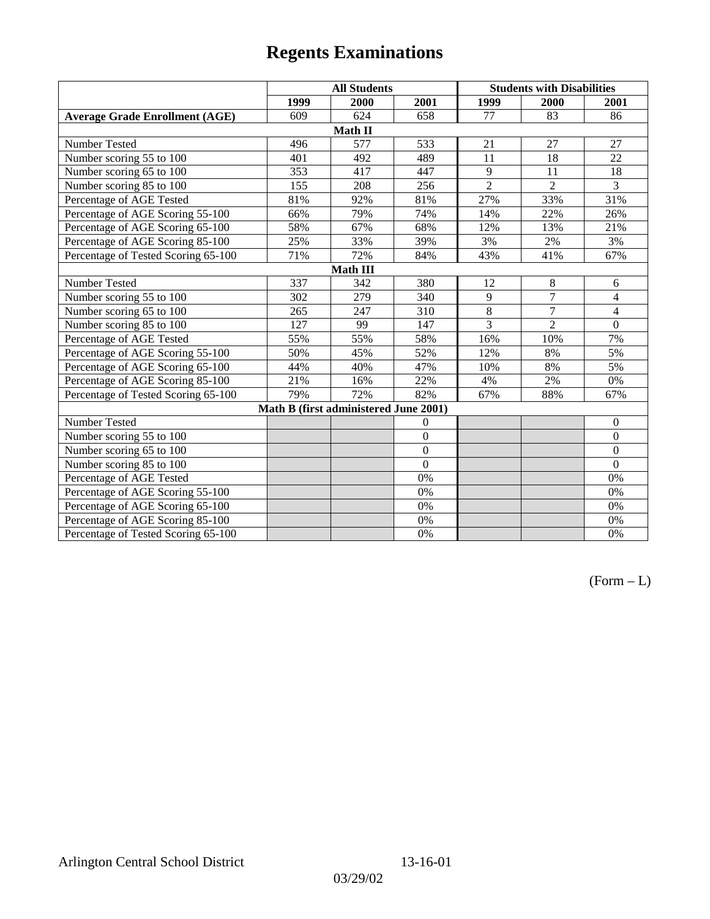|                                       | <b>All Students</b> |                                       |                | <b>Students with Disabilities</b> |                |                 |  |  |
|---------------------------------------|---------------------|---------------------------------------|----------------|-----------------------------------|----------------|-----------------|--|--|
|                                       | 1999                | 2000                                  | 2001           | 1999                              | 2000           | 2001            |  |  |
| <b>Average Grade Enrollment (AGE)</b> | 609                 | 624                                   | 658            | 77                                | 83             | 86              |  |  |
|                                       |                     | Math II                               |                |                                   |                |                 |  |  |
| Number Tested                         | 496                 | 577                                   | 533            | 21                                | 27             | 27              |  |  |
| Number scoring 55 to 100              | 401                 | 492                                   | 489            | 11                                | 18             | $\overline{22}$ |  |  |
| Number scoring 65 to 100              | 353                 | 417                                   | 447            | 9                                 | 11             | 18              |  |  |
| Number scoring 85 to 100              | 155                 | 208                                   | 256            | $\overline{2}$                    | $\overline{2}$ | 3               |  |  |
| Percentage of AGE Tested              | 81%                 | 92%                                   | 81%            | 27%                               | 33%            | 31%             |  |  |
| Percentage of AGE Scoring 55-100      | 66%                 | 79%                                   | 74%            | 14%                               | 22%            | 26%             |  |  |
| Percentage of AGE Scoring 65-100      | 58%                 | 67%                                   | 68%            | 12%                               | 13%            | 21%             |  |  |
| Percentage of AGE Scoring 85-100      | 25%                 | 33%                                   | 39%            | 3%                                | 2%             | 3%              |  |  |
| Percentage of Tested Scoring 65-100   | 71%                 | 72%                                   | 84%            | 43%                               | 41%            | 67%             |  |  |
| Math III                              |                     |                                       |                |                                   |                |                 |  |  |
| Number Tested                         | 337                 | 342                                   | 380            | 12                                | 8              | 6               |  |  |
| Number scoring 55 to 100              | 302                 | 279                                   | 340            | 9                                 | $\overline{7}$ | $\overline{4}$  |  |  |
| Number scoring 65 to 100              | 265                 | 247                                   | 310            | 8                                 | $\overline{7}$ | 4               |  |  |
| Number scoring 85 to 100              | 127                 | 99                                    | 147            | $\overline{3}$                    | $\overline{2}$ | $\mathbf{0}$    |  |  |
| Percentage of AGE Tested              | 55%                 | 55%                                   | 58%            | 16%                               | 10%            | 7%              |  |  |
| Percentage of AGE Scoring 55-100      | 50%                 | 45%                                   | 52%            | 12%                               | 8%             | 5%              |  |  |
| Percentage of AGE Scoring 65-100      | 44%                 | 40%                                   | 47%            | 10%                               | 8%             | 5%              |  |  |
| Percentage of AGE Scoring 85-100      | 21%                 | 16%                                   | 22%            | 4%                                | 2%             | $0\%$           |  |  |
| Percentage of Tested Scoring 65-100   | 79%                 | 72%                                   | 82%            | 67%                               | 88%            | 67%             |  |  |
|                                       |                     | Math B (first administered June 2001) |                |                                   |                |                 |  |  |
| Number Tested                         |                     |                                       | $\theta$       |                                   |                | $\mathbf{0}$    |  |  |
| Number scoring 55 to 100              |                     |                                       | $\overline{0}$ |                                   |                | $\mathbf{0}$    |  |  |
| Number scoring 65 to 100              |                     |                                       | $\overline{0}$ |                                   |                | $\mathbf{0}$    |  |  |
| Number scoring 85 to 100              |                     |                                       | $\theta$       |                                   |                | $\mathbf{0}$    |  |  |
| Percentage of AGE Tested              |                     |                                       | 0%             |                                   |                | 0%              |  |  |
| Percentage of AGE Scoring 55-100      |                     |                                       | 0%             |                                   |                | 0%              |  |  |
| Percentage of AGE Scoring 65-100      |                     |                                       | 0%             |                                   |                | 0%              |  |  |
| Percentage of AGE Scoring 85-100      |                     |                                       | 0%             |                                   |                | 0%              |  |  |
| Percentage of Tested Scoring 65-100   |                     |                                       | 0%             |                                   |                | 0%              |  |  |

 $(Form - L)$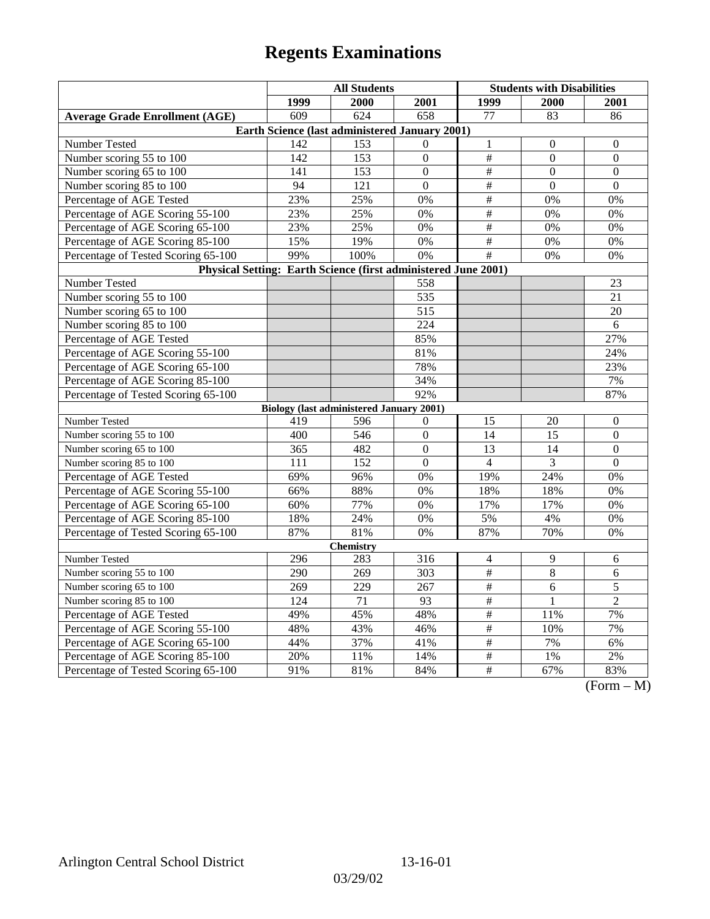|                                                                | <b>All Students</b> |                                                 |                  | <b>Students with Disabilities</b> |                  |                                                 |  |  |
|----------------------------------------------------------------|---------------------|-------------------------------------------------|------------------|-----------------------------------|------------------|-------------------------------------------------|--|--|
|                                                                | 1999                | 2000                                            | 2001             | 1999                              | <b>2000</b>      | 2001                                            |  |  |
| <b>Average Grade Enrollment (AGE)</b>                          | 609                 | 624                                             | 658              | 77                                | 83               | 86                                              |  |  |
| Earth Science (last administered January 2001)                 |                     |                                                 |                  |                                   |                  |                                                 |  |  |
| Number Tested                                                  | $\overline{142}$    | 153                                             | $\Omega$         | $\,1\,$                           | $\boldsymbol{0}$ | $\boldsymbol{0}$                                |  |  |
| Number scoring 55 to 100                                       | 142                 | 153                                             | $\boldsymbol{0}$ | $\#$                              | $\mathbf{0}$     | $\boldsymbol{0}$                                |  |  |
| Number scoring 65 to 100                                       | 141                 | 153                                             | $\Omega$         | $\#$                              | $\theta$         | $\theta$                                        |  |  |
| Number scoring 85 to 100                                       | 94                  | 121                                             | $\overline{0}$   | $\overline{\#}$                   | $\mathbf{0}$     | $\mathbf{0}$                                    |  |  |
| Percentage of AGE Tested                                       | 23%                 | 25%                                             | 0%               | $\overline{\#}$                   | 0%               | 0%                                              |  |  |
| Percentage of AGE Scoring 55-100                               | 23%                 | 25%                                             | 0%               | $\#$                              | 0%               | 0%                                              |  |  |
| Percentage of AGE Scoring 65-100                               | 23%                 | 25%                                             | 0%               | $\#$                              | 0%               | 0%                                              |  |  |
| Percentage of AGE Scoring 85-100                               | 15%                 | 19%                                             | 0%               | $\overline{\#}$                   | 0%               | 0%                                              |  |  |
| Percentage of Tested Scoring 65-100                            | 99%                 | 100%                                            | $\overline{0\%}$ | #                                 | 0%               | 0%                                              |  |  |
| Physical Setting: Earth Science (first administered June 2001) |                     |                                                 |                  |                                   |                  |                                                 |  |  |
| Number Tested                                                  |                     |                                                 | 558              |                                   |                  | 23                                              |  |  |
| Number scoring 55 to 100                                       |                     |                                                 | 535              |                                   |                  | 21                                              |  |  |
| Number scoring 65 to 100                                       |                     |                                                 | 515              |                                   |                  | 20                                              |  |  |
| Number scoring 85 to 100                                       |                     |                                                 | 224              |                                   |                  | 6                                               |  |  |
| Percentage of AGE Tested                                       |                     |                                                 | 85%              |                                   |                  | 27%                                             |  |  |
| Percentage of AGE Scoring 55-100                               |                     |                                                 | 81%              |                                   |                  | 24%                                             |  |  |
| Percentage of AGE Scoring 65-100                               |                     |                                                 | 78%              |                                   |                  | 23%                                             |  |  |
| Percentage of AGE Scoring 85-100                               |                     |                                                 | 34%              |                                   |                  | 7%                                              |  |  |
| Percentage of Tested Scoring 65-100                            |                     |                                                 | 92%              |                                   |                  | 87%                                             |  |  |
|                                                                |                     | <b>Biology (last administered January 2001)</b> |                  |                                   |                  |                                                 |  |  |
| Number Tested                                                  | 419                 | 596                                             | $\mathbf{0}$     | 15                                | 20               | $\boldsymbol{0}$                                |  |  |
| Number scoring 55 to 100                                       | 400                 | 546                                             | $\mathbf{0}$     | 14                                | 15               | $\mathbf{0}$                                    |  |  |
| Number scoring 65 to 100                                       | 365                 | 482                                             | $\mathbf{0}$     | 13                                | 14               | $\boldsymbol{0}$                                |  |  |
| Number scoring 85 to 100                                       | 111                 | 152                                             | $\overline{0}$   | $\overline{4}$                    | 3                | $\overline{0}$                                  |  |  |
| Percentage of AGE Tested                                       | 69%                 | 96%                                             | 0%               | 19%                               | 24%              | 0%                                              |  |  |
| Percentage of AGE Scoring 55-100                               | 66%                 | 88%                                             | 0%               | 18%                               | 18%              | 0%                                              |  |  |
| Percentage of AGE Scoring 65-100                               | 60%                 | 77%                                             | 0%               | 17%                               | 17%              | 0%                                              |  |  |
| Percentage of AGE Scoring 85-100                               | 18%                 | 24%                                             | $0\%$            | 5%                                | 4%               | $0\%$                                           |  |  |
| Percentage of Tested Scoring 65-100                            | 87%                 | 81%                                             | 0%               | 87%                               | 70%              | 0%                                              |  |  |
| <b>Chemistry</b>                                               |                     |                                                 |                  |                                   |                  |                                                 |  |  |
| Number Tested                                                  | 296                 | 283                                             | 316              | 4                                 | 9                | 6                                               |  |  |
| Number scoring 55 to 100                                       | 290                 | 269                                             | 303              | $\frac{1}{2}$                     | 8                | 6                                               |  |  |
| Number scoring 65 to 100                                       | 269                 | 229                                             | 267              | $\overline{\#}$                   | 6                | $\overline{5}$                                  |  |  |
| Number scoring 85 to 100                                       | 124                 | 71                                              | 93               | $\#$                              | $\mathbf{1}$     | $\overline{2}$                                  |  |  |
| Percentage of AGE Tested                                       | 49%                 | 45%                                             | 48%              | $\#$                              | 11%              | 7%                                              |  |  |
| Percentage of AGE Scoring 55-100                               | 48%                 | 43%                                             | 46%              | #                                 | 10%              | 7%                                              |  |  |
| Percentage of AGE Scoring 65-100                               | 44%                 | 37%                                             | 41%              | $\overline{\#}$                   | 7%               | 6%                                              |  |  |
| Percentage of AGE Scoring 85-100                               | 20%                 | 11%                                             | 14%              | $\frac{1}{2}$                     | $1\%$            | $2\%$                                           |  |  |
| Percentage of Tested Scoring 65-100                            | 91%                 | 81%                                             | 84%              | $\#$                              | 67%              | 83%<br>$\sqrt{\Gamma_{\alpha}}$<br>$\mathbf{M}$ |  |  |

(Form – M)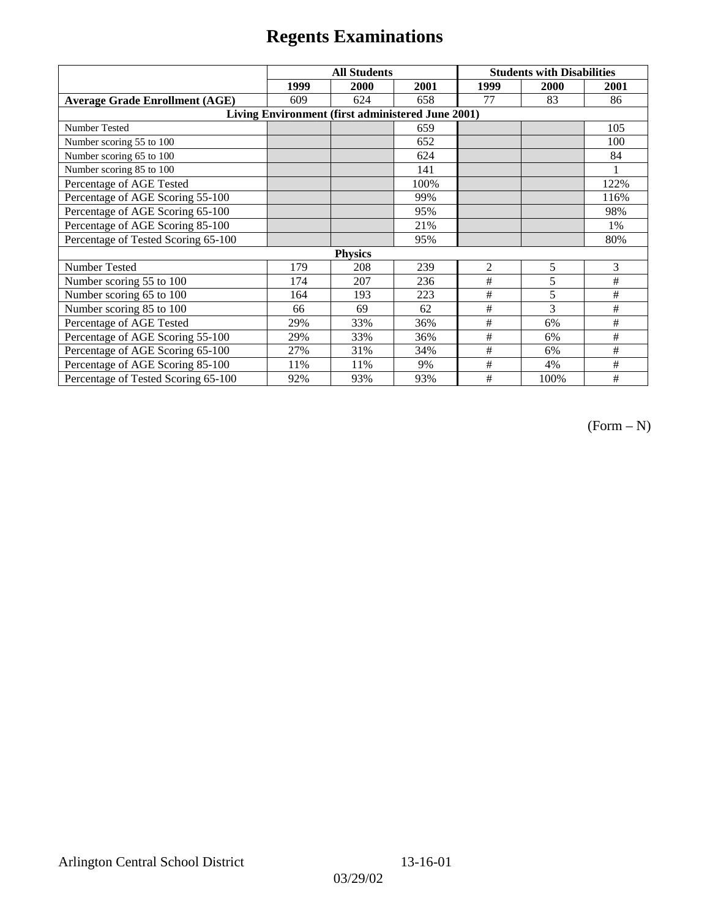|                                                   | <b>All Students</b> |      |      | <b>Students with Disabilities</b> |      |      |  |  |
|---------------------------------------------------|---------------------|------|------|-----------------------------------|------|------|--|--|
|                                                   | 1999                | 2000 | 2001 | 1999                              | 2000 | 2001 |  |  |
| <b>Average Grade Enrollment (AGE)</b>             | 609                 | 624  | 658  | 77                                | 83   | 86   |  |  |
| Living Environment (first administered June 2001) |                     |      |      |                                   |      |      |  |  |
| <b>Number Tested</b>                              |                     |      | 659  |                                   |      | 105  |  |  |
| Number scoring 55 to 100                          |                     |      | 652  |                                   |      | 100  |  |  |
| Number scoring 65 to 100                          |                     |      | 624  |                                   |      | 84   |  |  |
| Number scoring 85 to 100                          |                     |      | 141  |                                   |      |      |  |  |
| Percentage of AGE Tested                          |                     |      | 100% |                                   |      | 122% |  |  |
| Percentage of AGE Scoring 55-100                  |                     |      | 99%  |                                   |      | 116% |  |  |
| Percentage of AGE Scoring 65-100                  |                     |      | 95%  |                                   |      | 98%  |  |  |
| Percentage of AGE Scoring 85-100                  |                     |      | 21%  |                                   |      | 1%   |  |  |
| Percentage of Tested Scoring 65-100               |                     |      | 95%  |                                   |      | 80%  |  |  |
| <b>Physics</b>                                    |                     |      |      |                                   |      |      |  |  |
| Number Tested                                     | 179                 | 208  | 239  | 2                                 | 5    | 3    |  |  |
| Number scoring 55 to 100                          | 174                 | 207  | 236  | #                                 | 5    | #    |  |  |
| Number scoring 65 to 100                          | 164                 | 193  | 223  | #                                 | 5    | #    |  |  |
| Number scoring 85 to 100                          | 66                  | 69   | 62   | #                                 | 3    | #    |  |  |
| Percentage of AGE Tested                          | 29%                 | 33%  | 36%  | #                                 | 6%   | #    |  |  |
| Percentage of AGE Scoring 55-100                  | 29%                 | 33%  | 36%  | $\#$                              | 6%   | #    |  |  |
| Percentage of AGE Scoring 65-100                  | 27%                 | 31%  | 34%  | #                                 | 6%   | #    |  |  |
| Percentage of AGE Scoring 85-100                  | 11%                 | 11%  | 9%   | #                                 | 4%   | #    |  |  |
| Percentage of Tested Scoring 65-100               | 92%                 | 93%  | 93%  | #                                 | 100% | #    |  |  |

 $(Form - N)$